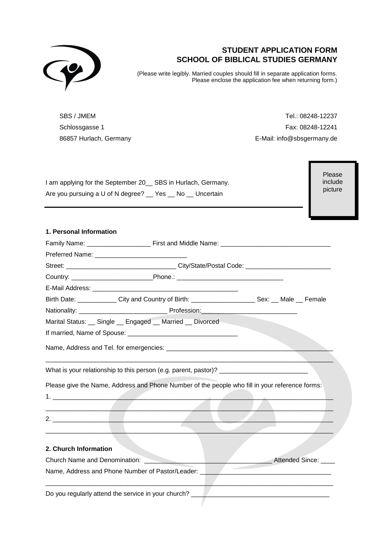

# **STUDENT APPLICATION FORM SCHOOL OF BIBLICAL STUDIES GERMANY**

(Please write legibly. Married couples should fill in separate application forms. Please enclose the application fee when returning form.)

SBS / JMEM Schlossgasse 1 86857 Hurlach, Germany

Tel.: 08248-12237 Fax: 08248-12241 E-Mail: info@sbsgermany.de

I am applying for the September 20\_\_ SBS in Hurlach, Germany. Are you pursuing a U of N degree? \_\_ Yes \_\_ No \_\_ Uncertain

Please include picture

## **1. Personal Information**

| Birth Date: _____________City and Country of Birth: _______________________Sex: __ Male __ Female |  |  |  |  |                      |  |  |
|---------------------------------------------------------------------------------------------------|--|--|--|--|----------------------|--|--|
|                                                                                                   |  |  |  |  |                      |  |  |
| Marital Status: __ Single __ Engaged __ Married __ Divorced                                       |  |  |  |  |                      |  |  |
|                                                                                                   |  |  |  |  |                      |  |  |
|                                                                                                   |  |  |  |  |                      |  |  |
|                                                                                                   |  |  |  |  |                      |  |  |
| Please give the Name, Address and Phone Number of the people who fill in your reference forms:    |  |  |  |  |                      |  |  |
|                                                                                                   |  |  |  |  |                      |  |  |
|                                                                                                   |  |  |  |  |                      |  |  |
| 2.                                                                                                |  |  |  |  |                      |  |  |
|                                                                                                   |  |  |  |  |                      |  |  |
|                                                                                                   |  |  |  |  |                      |  |  |
| 2. Church Information                                                                             |  |  |  |  |                      |  |  |
| Church Name and Denomination: Name of the Church Name and Denomination:                           |  |  |  |  | Attended Since: ____ |  |  |
|                                                                                                   |  |  |  |  |                      |  |  |
| Do you regularly attend the service in your church?                                               |  |  |  |  |                      |  |  |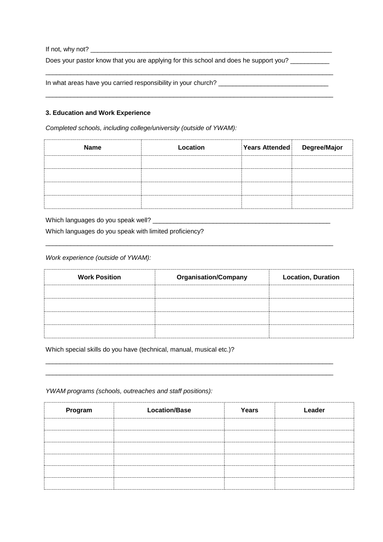If not, why not? \_\_\_\_\_\_\_\_\_\_\_\_\_\_\_\_\_\_\_\_\_\_\_\_\_\_\_\_\_\_\_\_\_\_\_\_\_\_\_\_\_\_\_\_\_\_\_\_\_\_\_\_\_\_\_\_\_\_\_\_\_\_\_\_\_\_\_\_

Does your pastor know that you are applying for this school and does he support you? \_\_\_\_\_\_\_\_\_\_

\_\_\_\_\_\_\_\_\_\_\_\_\_\_\_\_\_\_\_\_\_\_\_\_\_\_\_\_\_\_\_\_\_\_\_\_\_\_\_\_\_\_\_\_\_\_\_\_\_\_\_\_\_\_\_\_\_\_\_\_\_\_\_\_\_\_\_\_\_\_\_\_\_\_\_\_\_\_\_\_\_

\_\_\_\_\_\_\_\_\_\_\_\_\_\_\_\_\_\_\_\_\_\_\_\_\_\_\_\_\_\_\_\_\_\_\_\_\_\_\_\_\_\_\_\_\_\_\_\_\_\_\_\_\_\_\_\_\_\_\_\_\_\_\_\_\_\_\_\_\_\_\_\_\_\_\_\_\_\_\_\_\_

In what areas have you carried responsibility in your church? \_\_\_\_\_\_\_\_\_\_\_\_\_\_\_\_\_\_\_

### **3. Education and Work Experience**

*Completed schools, including college/university (outside of YWAM):*

| <b>Name</b> | Location | Years Attended | Degree/Major |
|-------------|----------|----------------|--------------|
|             |          |                |              |
|             |          |                |              |
|             |          |                |              |
|             |          |                |              |

Which languages do you speak well? \_\_\_\_\_\_\_\_\_\_\_\_\_\_\_\_\_\_\_\_\_\_\_\_\_\_\_\_\_\_\_\_\_\_\_\_\_\_\_\_\_\_\_\_\_\_\_\_\_\_

Which languages do you speak with limited proficiency?

*Work experience (outside of YWAM):*

| <b>Work Position</b> | <b>Organisation/Company</b> | <b>Location, Duration</b> |
|----------------------|-----------------------------|---------------------------|
|                      |                             |                           |
|                      |                             |                           |
|                      |                             |                           |
|                      |                             |                           |

\_\_\_\_\_\_\_\_\_\_\_\_\_\_\_\_\_\_\_\_\_\_\_\_\_\_\_\_\_\_\_\_\_\_\_\_\_\_\_\_\_\_\_\_\_\_\_\_\_\_\_\_\_\_\_\_\_\_\_\_\_\_\_\_\_\_\_\_\_\_\_\_\_\_\_\_\_\_\_\_\_ \_\_\_\_\_\_\_\_\_\_\_\_\_\_\_\_\_\_\_\_\_\_\_\_\_\_\_\_\_\_\_\_\_\_\_\_\_\_\_\_\_\_\_\_\_\_\_\_\_\_\_\_\_\_\_\_\_\_\_\_\_\_\_\_\_\_\_\_\_\_\_\_\_\_\_\_\_\_\_\_\_

\_\_\_\_\_\_\_\_\_\_\_\_\_\_\_\_\_\_\_\_\_\_\_\_\_\_\_\_\_\_\_\_\_\_\_\_\_\_\_\_\_\_\_\_\_\_\_\_\_\_\_\_\_\_\_\_\_\_\_\_\_\_\_\_\_\_\_\_\_\_\_\_\_\_\_\_\_\_\_\_\_

Which special skills do you have (technical, manual, musical etc.)?

*YWAM programs (schools, outreaches and staff positions):*

| Program | <b>Location/Base</b> | Years | Leader |
|---------|----------------------|-------|--------|
|         |                      |       |        |
|         |                      |       |        |
|         |                      |       |        |
|         |                      |       |        |
|         |                      |       |        |
|         |                      |       |        |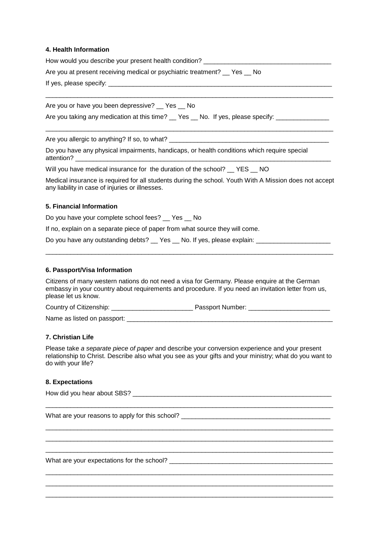### **4. Health Information**

How would you describe your present health condition? \_\_\_\_\_\_\_\_\_\_\_\_\_\_\_\_\_\_\_\_\_\_\_\_\_\_ Are you at present receiving medical or psychiatric treatment? Yes No If yes, please specify: \_\_\_\_\_\_\_\_\_\_\_\_\_\_\_\_\_\_\_\_\_\_\_\_\_\_\_\_\_\_\_\_\_\_\_\_\_\_\_\_\_\_\_\_\_\_\_\_\_\_\_\_\_\_\_\_\_\_\_\_\_\_\_\_\_\_\_\_\_\_\_\_\_\_\_\_\_\_\_\_\_

Are you or have you been depressive? \_\_ Yes \_\_ No

Are you taking any medication at this time? Yes No. If yes, please specify:

Are you allergic to anything? If so, to what?

Do you have any physical impairments, handicaps, or health conditions which require special attention?

Will you have medical insurance for the duration of the school? YES NO

Medical insurance is required for all students during the school. Youth With A Mission does not accept any liability in case of injuries or illnesses.

\_\_\_\_\_\_\_\_\_\_\_\_\_\_\_\_\_\_\_\_\_\_\_\_\_\_\_\_\_\_\_\_\_\_\_\_\_\_\_\_\_\_\_\_\_\_\_\_\_\_\_\_\_\_\_\_\_\_\_\_\_\_\_\_\_\_\_\_\_\_\_\_\_\_\_\_\_\_\_\_\_

#### **5. Financial Information**

Do you have your complete school fees? \_\_ Yes \_\_ No

If no, explain on a separate piece of paper from what source they will come.

Do you have any outstanding debts? Yes No. If yes, please explain:

#### **6. Passport/Visa Information**

Citizens of many western nations do not need a visa for Germany. Please enquire at the German embassy in your country about requirements and procedure. If you need an invitation letter from us, please let us know.

\_\_\_\_\_\_\_\_\_\_\_\_\_\_\_\_\_\_\_\_\_\_\_\_\_\_\_\_\_\_\_\_\_\_\_\_\_\_\_\_\_\_\_\_\_\_\_\_\_\_\_\_\_\_\_\_\_\_\_\_\_\_\_\_\_\_\_\_\_\_\_\_\_\_\_\_\_\_\_\_\_

Country of Citizenship: example and the Passport Number:  $\blacksquare$ 

Name as listed on passport:

## **7. Christian Life**

Please take *a separate piece of paper* and describe your conversion experience and your present relationship to Christ. Describe also what you see as your gifts and your ministry; what do you want to do with your life?

\_\_\_\_\_\_\_\_\_\_\_\_\_\_\_\_\_\_\_\_\_\_\_\_\_\_\_\_\_\_\_\_\_\_\_\_\_\_\_\_\_\_\_\_\_\_\_\_\_\_\_\_\_\_\_\_\_\_\_\_\_\_\_\_\_\_\_\_\_\_\_\_\_\_\_\_\_\_\_\_\_

\_\_\_\_\_\_\_\_\_\_\_\_\_\_\_\_\_\_\_\_\_\_\_\_\_\_\_\_\_\_\_\_\_\_\_\_\_\_\_\_\_\_\_\_\_\_\_\_\_\_\_\_\_\_\_\_\_\_\_\_\_\_\_\_\_\_\_\_\_\_\_\_\_\_\_\_\_\_\_\_\_ \_\_\_\_\_\_\_\_\_\_\_\_\_\_\_\_\_\_\_\_\_\_\_\_\_\_\_\_\_\_\_\_\_\_\_\_\_\_\_\_\_\_\_\_\_\_\_\_\_\_\_\_\_\_\_\_\_\_\_\_\_\_\_\_\_\_\_\_\_\_\_\_\_\_\_\_\_\_\_\_\_ \_\_\_\_\_\_\_\_\_\_\_\_\_\_\_\_\_\_\_\_\_\_\_\_\_\_\_\_\_\_\_\_\_\_\_\_\_\_\_\_\_\_\_\_\_\_\_\_\_\_\_\_\_\_\_\_\_\_\_\_\_\_\_\_\_\_\_\_\_\_\_\_\_\_\_\_\_\_\_\_\_

\_\_\_\_\_\_\_\_\_\_\_\_\_\_\_\_\_\_\_\_\_\_\_\_\_\_\_\_\_\_\_\_\_\_\_\_\_\_\_\_\_\_\_\_\_\_\_\_\_\_\_\_\_\_\_\_\_\_\_\_\_\_\_\_\_\_\_\_\_\_\_\_\_\_\_\_\_\_\_\_\_ \_\_\_\_\_\_\_\_\_\_\_\_\_\_\_\_\_\_\_\_\_\_\_\_\_\_\_\_\_\_\_\_\_\_\_\_\_\_\_\_\_\_\_\_\_\_\_\_\_\_\_\_\_\_\_\_\_\_\_\_\_\_\_\_\_\_\_\_\_\_\_\_\_\_\_\_\_\_\_\_\_ \_\_\_\_\_\_\_\_\_\_\_\_\_\_\_\_\_\_\_\_\_\_\_\_\_\_\_\_\_\_\_\_\_\_\_\_\_\_\_\_\_\_\_\_\_\_\_\_\_\_\_\_\_\_\_\_\_\_\_\_\_\_\_\_\_\_\_\_\_\_\_\_\_\_\_\_\_\_\_\_\_

#### **8. Expectations**

How did you hear about SBS? **with a set of the set of the set of the set of the set of the set of the set of the set of the set of the set of the set of the set of the set of the set of the set of the set of the set of the** 

What are your reasons to apply for this school?

What are your expectations for the school?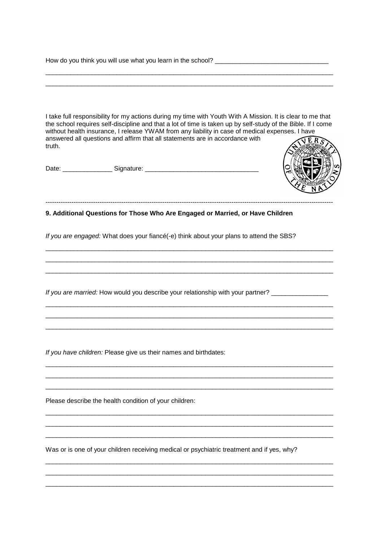How do you think you will use what you learn in the school? \_\_\_\_\_\_\_\_\_\_\_\_\_\_\_\_\_\_\_\_\_\_\_\_\_\_\_\_\_\_\_\_

I take full responsibility for my actions during my time with Youth With A Mission. It is clear to me that the school requires self-discipline and that a lot of time is taken up by self-study of the Bible. If I come without health insurance, I release YWAM from any liability in case of medical expenses. I have answered all questions and affirm that all statements are in accordance with **JERS** truth.

\_\_\_\_\_\_\_\_\_\_\_\_\_\_\_\_\_\_\_\_\_\_\_\_\_\_\_\_\_\_\_\_\_\_\_\_\_\_\_\_\_\_\_\_\_\_\_\_\_\_\_\_\_\_\_\_\_\_\_\_\_\_\_\_\_\_\_\_\_\_\_\_\_\_\_\_\_\_\_\_\_ \_\_\_\_\_\_\_\_\_\_\_\_\_\_\_\_\_\_\_\_\_\_\_\_\_\_\_\_\_\_\_\_\_\_\_\_\_\_\_\_\_\_\_\_\_\_\_\_\_\_\_\_\_\_\_\_\_\_\_\_\_\_\_\_\_\_\_\_\_\_\_\_\_\_\_\_\_\_\_\_\_

Date: \_\_\_\_\_\_\_\_\_\_\_\_\_\_ Signature: \_\_\_\_\_\_\_\_\_\_\_\_\_\_\_\_\_\_\_\_\_\_\_\_\_\_\_\_\_\_\_\_



**9. Additional Questions for Those Who Are Engaged or Married, or Have Children**

-------------------------------------------------------------------------------------------------------------------------------------

*If you are engaged:* What does your fiancé(-e) think about your plans to attend the SBS?

\_\_\_\_\_\_\_\_\_\_\_\_\_\_\_\_\_\_\_\_\_\_\_\_\_\_\_\_\_\_\_\_\_\_\_\_\_\_\_\_\_\_\_\_\_\_\_\_\_\_\_\_\_\_\_\_\_\_\_\_\_\_\_\_\_\_\_\_\_\_\_\_\_\_\_\_\_\_\_\_\_ \_\_\_\_\_\_\_\_\_\_\_\_\_\_\_\_\_\_\_\_\_\_\_\_\_\_\_\_\_\_\_\_\_\_\_\_\_\_\_\_\_\_\_\_\_\_\_\_\_\_\_\_\_\_\_\_\_\_\_\_\_\_\_\_\_\_\_\_\_\_\_\_\_\_\_\_\_\_\_\_\_ \_\_\_\_\_\_\_\_\_\_\_\_\_\_\_\_\_\_\_\_\_\_\_\_\_\_\_\_\_\_\_\_\_\_\_\_\_\_\_\_\_\_\_\_\_\_\_\_\_\_\_\_\_\_\_\_\_\_\_\_\_\_\_\_\_\_\_\_\_\_\_\_\_\_\_\_\_\_\_\_\_

\_\_\_\_\_\_\_\_\_\_\_\_\_\_\_\_\_\_\_\_\_\_\_\_\_\_\_\_\_\_\_\_\_\_\_\_\_\_\_\_\_\_\_\_\_\_\_\_\_\_\_\_\_\_\_\_\_\_\_\_\_\_\_\_\_\_\_\_\_\_\_\_\_\_\_\_\_\_\_\_\_ \_\_\_\_\_\_\_\_\_\_\_\_\_\_\_\_\_\_\_\_\_\_\_\_\_\_\_\_\_\_\_\_\_\_\_\_\_\_\_\_\_\_\_\_\_\_\_\_\_\_\_\_\_\_\_\_\_\_\_\_\_\_\_\_\_\_\_\_\_\_\_\_\_\_\_\_\_\_\_\_\_ \_\_\_\_\_\_\_\_\_\_\_\_\_\_\_\_\_\_\_\_\_\_\_\_\_\_\_\_\_\_\_\_\_\_\_\_\_\_\_\_\_\_\_\_\_\_\_\_\_\_\_\_\_\_\_\_\_\_\_\_\_\_\_\_\_\_\_\_\_\_\_\_\_\_\_\_\_\_\_\_\_

\_\_\_\_\_\_\_\_\_\_\_\_\_\_\_\_\_\_\_\_\_\_\_\_\_\_\_\_\_\_\_\_\_\_\_\_\_\_\_\_\_\_\_\_\_\_\_\_\_\_\_\_\_\_\_\_\_\_\_\_\_\_\_\_\_\_\_\_\_\_\_\_\_\_\_\_\_\_\_\_\_ \_\_\_\_\_\_\_\_\_\_\_\_\_\_\_\_\_\_\_\_\_\_\_\_\_\_\_\_\_\_\_\_\_\_\_\_\_\_\_\_\_\_\_\_\_\_\_\_\_\_\_\_\_\_\_\_\_\_\_\_\_\_\_\_\_\_\_\_\_\_\_\_\_\_\_\_\_\_\_\_\_ \_\_\_\_\_\_\_\_\_\_\_\_\_\_\_\_\_\_\_\_\_\_\_\_\_\_\_\_\_\_\_\_\_\_\_\_\_\_\_\_\_\_\_\_\_\_\_\_\_\_\_\_\_\_\_\_\_\_\_\_\_\_\_\_\_\_\_\_\_\_\_\_\_\_\_\_\_\_\_\_\_

\_\_\_\_\_\_\_\_\_\_\_\_\_\_\_\_\_\_\_\_\_\_\_\_\_\_\_\_\_\_\_\_\_\_\_\_\_\_\_\_\_\_\_\_\_\_\_\_\_\_\_\_\_\_\_\_\_\_\_\_\_\_\_\_\_\_\_\_\_\_\_\_\_\_\_\_\_\_\_\_\_ \_\_\_\_\_\_\_\_\_\_\_\_\_\_\_\_\_\_\_\_\_\_\_\_\_\_\_\_\_\_\_\_\_\_\_\_\_\_\_\_\_\_\_\_\_\_\_\_\_\_\_\_\_\_\_\_\_\_\_\_\_\_\_\_\_\_\_\_\_\_\_\_\_\_\_\_\_\_\_\_\_ \_\_\_\_\_\_\_\_\_\_\_\_\_\_\_\_\_\_\_\_\_\_\_\_\_\_\_\_\_\_\_\_\_\_\_\_\_\_\_\_\_\_\_\_\_\_\_\_\_\_\_\_\_\_\_\_\_\_\_\_\_\_\_\_\_\_\_\_\_\_\_\_\_\_\_\_\_\_\_\_\_

\_\_\_\_\_\_\_\_\_\_\_\_\_\_\_\_\_\_\_\_\_\_\_\_\_\_\_\_\_\_\_\_\_\_\_\_\_\_\_\_\_\_\_\_\_\_\_\_\_\_\_\_\_\_\_\_\_\_\_\_\_\_\_\_\_\_\_\_\_\_\_\_\_\_\_\_\_\_\_\_\_ \_\_\_\_\_\_\_\_\_\_\_\_\_\_\_\_\_\_\_\_\_\_\_\_\_\_\_\_\_\_\_\_\_\_\_\_\_\_\_\_\_\_\_\_\_\_\_\_\_\_\_\_\_\_\_\_\_\_\_\_\_\_\_\_\_\_\_\_\_\_\_\_\_\_\_\_\_\_\_\_\_ \_\_\_\_\_\_\_\_\_\_\_\_\_\_\_\_\_\_\_\_\_\_\_\_\_\_\_\_\_\_\_\_\_\_\_\_\_\_\_\_\_\_\_\_\_\_\_\_\_\_\_\_\_\_\_\_\_\_\_\_\_\_\_\_\_\_\_\_\_\_\_\_\_\_\_\_\_\_\_\_\_

*If you are married:* How would you describe your relationship with your partner? \_\_\_\_\_\_\_\_\_\_\_\_\_\_\_\_\_\_\_\_\_\_\_\_\_\_\_\_\_\_

*If you have children:* Please give us their names and birthdates:

Please describe the health condition of your children:

Was or is one of your children receiving medical or psychiatric treatment and if yes, why?